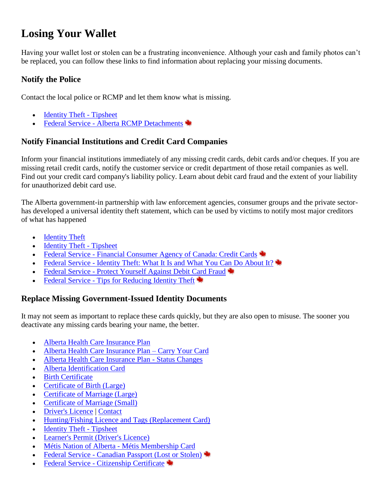# **Losing Your Wallet**

Having your wallet lost or stolen can be a frustrating inconvenience. Although your cash and family photos can't be replaced, you can follow these links to find information about replacing your missing documents.

# **Notify the Police**

Contact the local police or RCMP and let them know what is missing.

- [Identity Theft -](http://www.servicealberta.gov.ab.ca/pdf/tipsheets/Identity_theft.pdf) Tipsheet
- Federal Service [Alberta RCMP Detachments](http://www.rcmp-grc.gc.ca/index-eng.htm)

# **Notify Financial Institutions and Credit Card Companies**

Inform your financial institutions immediately of any missing credit cards, debit cards and/or cheques. If you are missing retail credit cards, notify the customer service or credit department of those retail companies as well. Find out your credit card company's liability policy. Learn about debit card fraud and the extent of your liability for unauthorized debit card use.

The Alberta government-in partnership with law enforcement agencies, consumer groups and the private sectorhas developed a universal identity theft statement, which can be used by victims to notify most major creditors of what has happened

- **[Identity Theft](http://www.servicealberta.ca/560.cfm)**
- [Identity Theft -](http://www.servicealberta.gov.ab.ca/pdf/tipsheets/Identity_theft.pdf) Tipsheet
- Federal Service [Financial Consumer Agency of Canada: Credit Cards](http://www.fcac-acfc.gc.ca/eng/consumers/creditcard/index-eng.asp)
- Federal Service [Identity Theft: What It Is and What You Can Do About It?](http://www.privcom.gc.ca/fs-fi/02_05_d_10_e.asp)
- Federal Service [Protect Yourself Against Debit Card Fraud](http://strategis.ic.gc.ca/epic/internet/inoca-bc.nsf/en/ca01832e.html)
- Federal Service [Tips for Reducing Identity Theft](http://cmcweb.ca/epic/internet/incmc-cmc.nsf/en/fe00040e.html)  $\blacktriangleright$

### **Replace Missing Government-Issued Identity Documents**

It may not seem as important to replace these cards quickly, but they are also open to misuse. The sooner you deactivate any missing cards bearing your name, the better.

- [Alberta Health Care Insurance Plan](http://www.health.alberta.ca/health-care-insurance-plan.html)
- [Alberta Health Care Insurance Plan –](http://www.health.alberta.ca/AHCIP/carry-your-card.html) Carry Your Card
- [Alberta Health Care Insurance Plan -](http://www.health.alberta.ca/AHCIP/status-changes.html) Status Changes
- [Alberta Identification Card](http://www.servicealberta.ca/1048.cfm)
- [Birth Certificate](http://www.servicealberta.ca/1060.cfm)
- [Certificate of Birth \(Large\)](http://www.servicealberta.ca/788.cfm)
- [Certificate of Marriage \(Large\)](http://www.servicealberta.gov.ab.ca/pdf/vs/Marriage_Framing_Bride_Groom_March_22-2013.jpg)
- [Certificate of Marriage \(Small\)](http://www.servicealberta.gov.ab.ca/pdf/vs/Marriage_Wallet_Bride_Groom_March_22-2013.jpg)
- [Driver's Licence](http://www.servicealberta.ca/Drivers_Licence.cfm) | [Contact](http://www.programs.alberta.ca/Contacts/Map.aspx?id=2937)
- [Hunting/Fishing Licence and Tags \(Replacement Card\)](http://www.mywildalberta.com/Hunting/LicencesFees/WINcards.aspx)
- [Identity Theft -](http://www.servicealberta.gov.ab.ca/pdf/tipsheets/Identity_theft.pdf) Tipsheet
- [Learner's Permit \(Driver's Licence\)](http://www.servicealberta.ca/Drivers_Licence.cfm)
- [Métis Nation of Alberta -](http://www.albertametis.com/MNAHome/MNA-Membership.aspx) Métis Membership Card
- Federal Service [Canadian Passport \(Lost or Stolen\)](http://www.ppt.gc.ca/planification/203.aspx?lang=eng)
- [Federal Service -](http://www.cic.gc.ca/english/information/applications/certif.asp) Citizenship Certificate